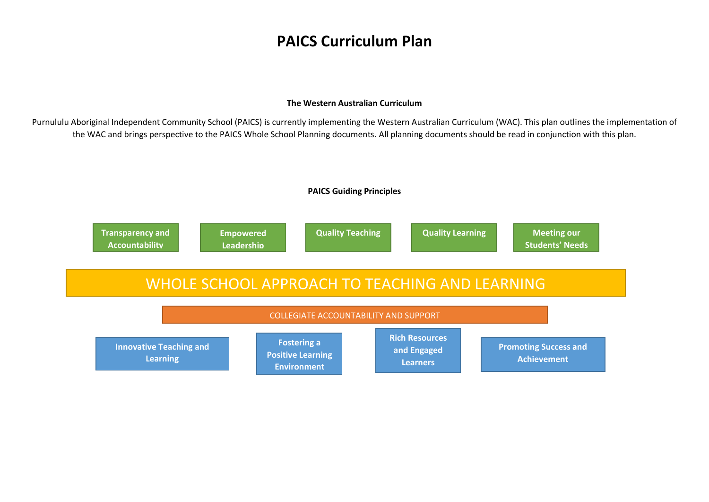# **PAICS Curriculum Plan**

#### **The Western Australian Curriculum**

Purnululu Aboriginal Independent Community School (PAICS) is currently implementing the Western Australian Curriculum (WAC). This plan outlines the implementation of the WAC and brings perspective to the PAICS Whole School Planning documents. All planning documents should be read in conjunction with this plan.

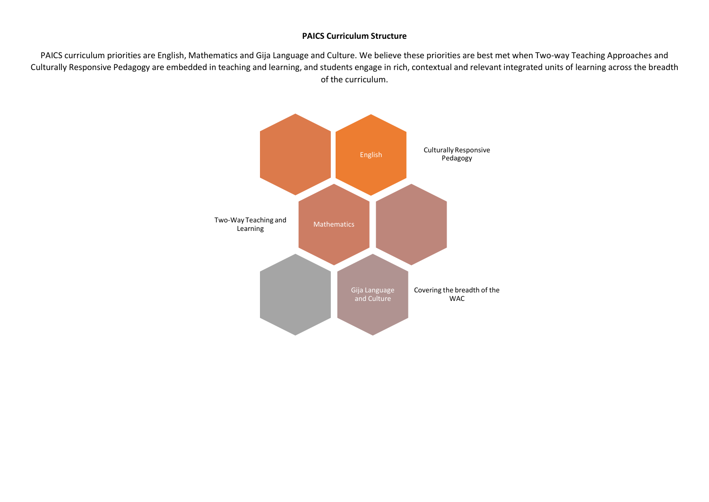#### **PAICS Curriculum Structure**

PAICS curriculum priorities are English, Mathematics and Gija Language and Culture. We believe these priorities are best met when Two-way Teaching Approaches and Culturally Responsive Pedagogy are embedded in teaching and learning, and students engage in rich, contextual and relevant integrated units of learning across the breadth of the curriculum.

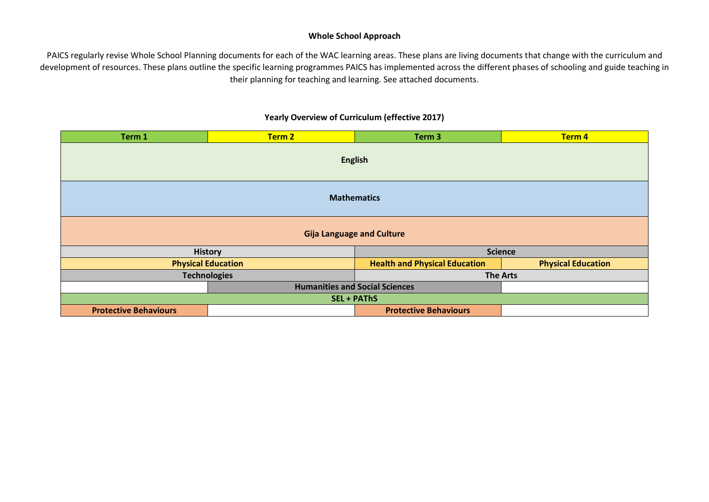### **Whole School Approach**

PAICS regularly revise Whole School Planning documents for each of the WAC learning areas. These plans are living documents that change with the curriculum and development of resources. These plans outline the specific learning programmes PAICS has implemented across the different phases of schooling and guide teaching in their planning for teaching and learning. See attached documents.

## **Yearly Overview of Curriculum (effective 2017)**

| Term 1                           | Term 2                                | Term <sub>3</sub>                    | Term 4                    |  |
|----------------------------------|---------------------------------------|--------------------------------------|---------------------------|--|
| <b>English</b>                   |                                       |                                      |                           |  |
| <b>Mathematics</b>               |                                       |                                      |                           |  |
| <b>Gija Language and Culture</b> |                                       |                                      |                           |  |
| <b>History</b>                   |                                       | <b>Science</b>                       |                           |  |
| <b>Physical Education</b>        |                                       | <b>Health and Physical Education</b> | <b>Physical Education</b> |  |
| <b>Technologies</b>              |                                       | <b>The Arts</b>                      |                           |  |
|                                  | <b>Humanities and Social Sciences</b> |                                      |                           |  |
| <b>SEL + PAThS</b>               |                                       |                                      |                           |  |
| <b>Protective Behaviours</b>     |                                       | <b>Protective Behaviours</b>         |                           |  |